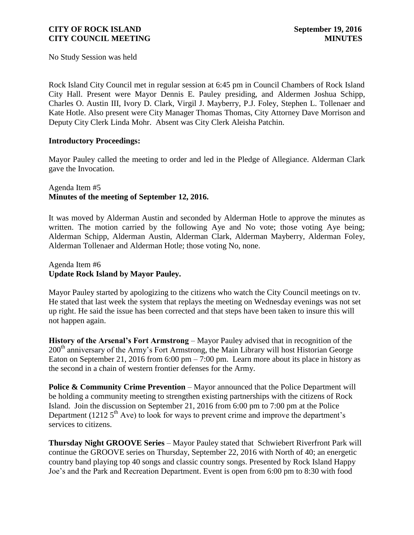No Study Session was held

Rock Island City Council met in regular session at 6:45 pm in Council Chambers of Rock Island City Hall. Present were Mayor Dennis E. Pauley presiding, and Aldermen Joshua Schipp, Charles O. Austin III, Ivory D. Clark, Virgil J. Mayberry, P.J. Foley, Stephen L. Tollenaer and Kate Hotle. Also present were City Manager Thomas Thomas, City Attorney Dave Morrison and Deputy City Clerk Linda Mohr. Absent was City Clerk Aleisha Patchin.

### **Introductory Proceedings:**

Mayor Pauley called the meeting to order and led in the Pledge of Allegiance. Alderman Clark gave the Invocation.

### Agenda Item #5 **Minutes of the meeting of September 12, 2016.**

It was moved by Alderman Austin and seconded by Alderman Hotle to approve the minutes as written. The motion carried by the following Aye and No vote; those voting Aye being; Alderman Schipp, Alderman Austin, Alderman Clark, Alderman Mayberry, Alderman Foley, Alderman Tollenaer and Alderman Hotle; those voting No, none.

### Agenda Item #6 **Update Rock Island by Mayor Pauley.**

Mayor Pauley started by apologizing to the citizens who watch the City Council meetings on tv. He stated that last week the system that replays the meeting on Wednesday evenings was not set up right. He said the issue has been corrected and that steps have been taken to insure this will not happen again.

**History of the Arsenal's Fort Armstrong** – Mayor Pauley advised that in recognition of the 200<sup>th</sup> anniversary of the Army's Fort Armstrong, the Main Library will host Historian George Eaton on September 21, 2016 from 6:00 pm  $- 7:00$  pm. Learn more about its place in history as the second in a chain of western frontier defenses for the Army.

**Police & Community Crime Prevention** – Mayor announced that the Police Department will be holding a community meeting to strengthen existing partnerships with the citizens of Rock Island. Join the discussion on September 21, 2016 from 6:00 pm to 7:00 pm at the Police Department (1212  $5<sup>th</sup>$  Ave) to look for ways to prevent crime and improve the department's services to citizens.

**Thursday Night GROOVE Series** – Mayor Pauley stated that Schwiebert Riverfront Park will continue the GROOVE series on Thursday, September 22, 2016 with North of 40; an energetic country band playing top 40 songs and classic country songs. Presented by Rock Island Happy Joe's and the Park and Recreation Department. Event is open from 6:00 pm to 8:30 with food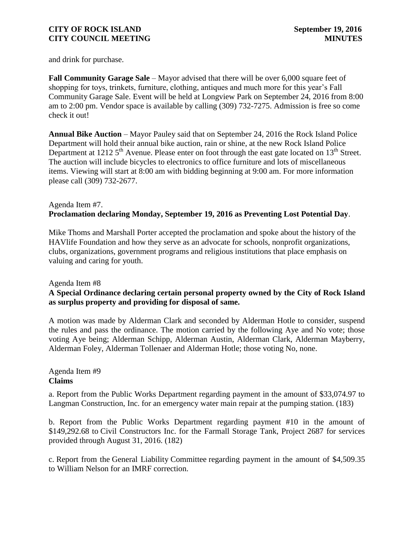and drink for purchase.

**Fall Community Garage Sale** – Mayor advised that there will be over 6,000 square feet of shopping for toys, trinkets, furniture, clothing, antiques and much more for this year's Fall Community Garage Sale. Event will be held at Longview Park on September 24, 2016 from 8:00 am to 2:00 pm. Vendor space is available by calling (309) 732-7275. Admission is free so come check it out!

**Annual Bike Auction** – Mayor Pauley said that on September 24, 2016 the Rock Island Police Department will hold their annual bike auction, rain or shine, at the new Rock Island Police Department at 1212  $5<sup>th</sup>$  Avenue. Please enter on foot through the east gate located on 13<sup>th</sup> Street. The auction will include bicycles to electronics to office furniture and lots of miscellaneous items. Viewing will start at 8:00 am with bidding beginning at 9:00 am. For more information please call (309) 732-2677.

# Agenda Item #7. **[Proclamation declaring Monday, September 19, 2016 as Preventing Lost Potential Day](http://www.rigov.org/DocumentCenter/View/10167)**.

Mike Thoms and Marshall Porter accepted the proclamation and spoke about the history of the HAVlife Foundation and how they serve as an advocate for schools, nonprofit organizations, clubs, organizations, government programs and religious institutions that place emphasis on valuing and caring for youth.

### Agenda Item #8

# **A Special Ordinance [declaring certain personal property owned by the City of Rock](http://www.rigov.org/DocumentCenter/View/10164) Island [as surplus property and providing for disposal of same.](http://www.rigov.org/DocumentCenter/View/10164)**

A motion was made by Alderman Clark and seconded by Alderman Hotle to consider, suspend the rules and pass the ordinance. The motion carried by the following Aye and No vote; those voting Aye being; Alderman Schipp, Alderman Austin, Alderman Clark, Alderman Mayberry, Alderman Foley, Alderman Tollenaer and Alderman Hotle; those voting No, none.

# Agenda Item #9 **Claims**

a. [Report from the Public Works Department regarding payment in the amount of \\$33,074.97 to](http://www.rigov.org/DocumentCenter/View/10159)  [Langman Construction, Inc. for an emergency water main repair at the pumping station. \(183\)](http://www.rigov.org/DocumentCenter/View/10159)

b. [Report from the Public Works Department regarding payment #10 in the amount of](http://www.rigov.org/DocumentCenter/View/10156)  \$149,292.68 to Civil Constructors Inc. for [the Farmall Storage Tank, Project 2687 for services](http://www.rigov.org/DocumentCenter/View/10156)  [provided through August 31, 2016. \(182\)](http://www.rigov.org/DocumentCenter/View/10156) 

c. Report from the General Liability Committee [regarding payment in the amount of \\$4,509.35](http://www.rigov.org/DocumentCenter/View/10157)  [to William Nelson for an](http://www.rigov.org/DocumentCenter/View/10157) IMRF correction.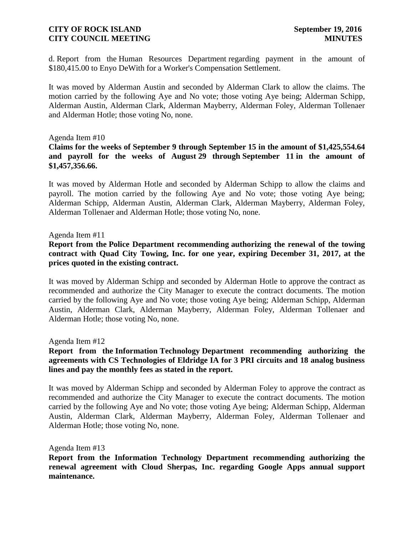d. Report from the Human Resources Department [regarding payment in the amount of](http://www.rigov.org/DocumentCenter/View/10158)  [\\$180,415.00 to Enyo DeWith for a Worker's Compensation Settlement.](http://www.rigov.org/DocumentCenter/View/10158)

It was moved by Alderman Austin and seconded by Alderman Clark to allow the claims. The motion carried by the following Aye and No vote; those voting Aye being; Alderman Schipp, Alderman Austin, Alderman Clark, Alderman Mayberry, Alderman Foley, Alderman Tollenaer and Alderman Hotle; those voting No, none.

#### Agenda Item #10

### **[Claims for the weeks of September](http://www.rigov.org/DocumentCenter/View/10160) 9 through September 15 in the amount of \$1,425,554.64 and [payroll for the weeks of August](http://www.rigov.org/DocumentCenter/View/10165) 29 through September 11 in the amount of [\\$1,457,356.66.](http://www.rigov.org/DocumentCenter/View/10165)**

It was moved by Alderman Hotle and seconded by Alderman Schipp to allow the claims and payroll. The motion carried by the following Aye and No vote; those voting Aye being; Alderman Schipp, Alderman Austin, Alderman Clark, Alderman Mayberry, Alderman Foley, Alderman Tollenaer and Alderman Hotle; those voting No, none.

#### Agenda Item #11

### **Report from the Police Department recommending [authorizing the renewal of the towing](http://www.rigov.org/DocumentCenter/View/10163)  [contract with Quad City Towing, Inc. for one year, expiring December 31, 2017, at the](http://www.rigov.org/DocumentCenter/View/10163)  [prices quoted in the existing contract.](http://www.rigov.org/DocumentCenter/View/10163)**

It was moved by Alderman Schipp and seconded by Alderman Hotle to approve the contract as recommended and authorize the City Manager to execute the contract documents. The motion carried by the following Aye and No vote; those voting Aye being; Alderman Schipp, Alderman Austin, Alderman Clark, Alderman Mayberry, Alderman Foley, Alderman Tollenaer and Alderman Hotle; those voting No, none.

Agenda Item #1[2](http://www.rigov.org/DocumentCenter/View/10162)

### **Report from the Information Technology [Department recommending authorizing the](http://www.rigov.org/DocumentCenter/View/10162)  [agreements with CS Technologies of Eldridge IA for 3 PRI circuits and 18 analog business](http://www.rigov.org/DocumentCenter/View/10162)  [lines and pay the monthly fees as stated in the report.](http://www.rigov.org/DocumentCenter/View/10162)**

It was moved by Alderman Schipp and seconded by Alderman Foley to approve the contract as recommended and authorize the City Manager to execute the contract documents. The motion carried by the following Aye and No vote; those voting Aye being; Alderman Schipp, Alderman Austin, Alderman Clark, Alderman Mayberry, Alderman Foley, Alderman Tollenaer and Alderman Hotle; those voting No, none.

Agenda Item #13

**[Report from the Information Technology Department recommending authorizing the](http://www.rigov.org/DocumentCenter/View/10161)  [renewal agreement with Cloud Sherpas, Inc. regarding Google Apps annual support](http://www.rigov.org/DocumentCenter/View/10161)  [maintenance.](http://www.rigov.org/DocumentCenter/View/10161)**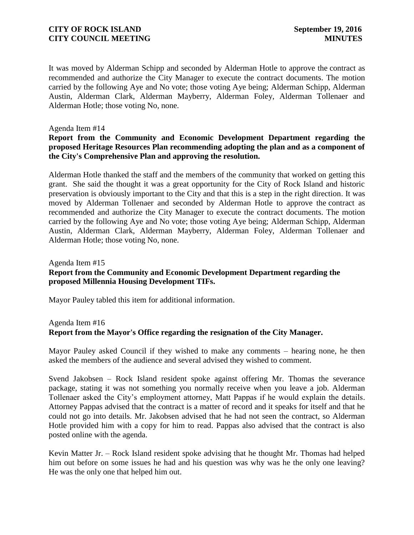It was moved by Alderman Schipp and seconded by Alderman Hotle to approve the contract as recommended and authorize the City Manager to execute the contract documents. The motion carried by the following Aye and No vote; those voting Aye being; Alderman Schipp, Alderman Austin, Alderman Clark, Alderman Mayberry, Alderman Foley, Alderman Tollenaer and Alderman Hotle; those voting No, none.

#### Agenda Item #14

### **[Report from the Community and Economic Development Department regarding the](http://www.rigov.org/DocumentCenter/View/10155)  proposed [Heritage Resources Plan recommending adopting the plan and as a component of](http://www.rigov.org/DocumentCenter/View/10155)  [the City's Comprehensive Plan and approving the resolution.](http://www.rigov.org/DocumentCenter/View/10155)**

Alderman Hotle thanked the staff and the members of the community that worked on getting this grant. She said the thought it was a great opportunity for the City of Rock Island and historic preservation is obviously important to the City and that this is a step in the right direction. It was moved by Alderman Tollenaer and seconded by Alderman Hotle to approve the contract as recommended and authorize the City Manager to execute the contract documents. The motion carried by the following Aye and No vote; those voting Aye being; Alderman Schipp, Alderman Austin, Alderman Clark, Alderman Mayberry, Alderman Foley, Alderman Tollenaer and Alderman Hotle; those voting No, none.

# Agenda Item #15 **[Report from the Community and Economic Development Department regarding the](http://www.rigov.org/DocumentCenter/View/10170)  [proposed Millennia Housing Development TIFs.](http://www.rigov.org/DocumentCenter/View/10170)**

Mayor Pauley tabled this item for additional information.

# Agenda Item #16 **[Report from the Mayor's Office regarding the resignation of the City Manager.](http://www.rigov.org/DocumentCenter/View/10168)**

Mayor Pauley asked Council if they wished to make any comments – hearing none, he then asked the members of the audience and several advised they wished to comment.

Svend Jakobsen – Rock Island resident spoke against offering Mr. Thomas the severance package, stating it was not something you normally receive when you leave a job. Alderman Tollenaer asked the City's employment attorney, Matt Pappas if he would explain the details. Attorney Pappas advised that the contract is a matter of record and it speaks for itself and that he could not go into details. Mr. Jakobsen advised that he had not seen the contract, so Alderman Hotle provided him with a copy for him to read. Pappas also advised that the contract is also posted online with the agenda.

Kevin Matter Jr. – Rock Island resident spoke advising that he thought Mr. Thomas had helped him out before on some issues he had and his question was why was he the only one leaving? He was the only one that helped him out.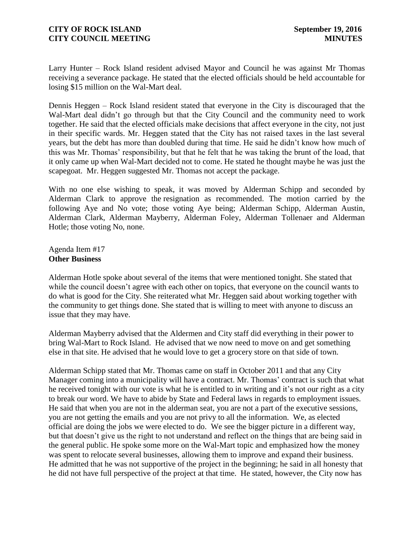Larry Hunter – Rock Island resident advised Mayor and Council he was against Mr Thomas receiving a severance package. He stated that the elected officials should be held accountable for losing \$15 million on the Wal-Mart deal.

Dennis Heggen – Rock Island resident stated that everyone in the City is discouraged that the Wal-Mart deal didn't go through but that the City Council and the community need to work together. He said that the elected officials make decisions that affect everyone in the city, not just in their specific wards. Mr. Heggen stated that the City has not raised taxes in the last several years, but the debt has more than doubled during that time. He said he didn't know how much of this was Mr. Thomas' responsibility, but that he felt that he was taking the brunt of the load, that it only came up when Wal-Mart decided not to come. He stated he thought maybe he was just the scapegoat. Mr. Heggen suggested Mr. Thomas not accept the package.

With no one else wishing to speak, it was moved by Alderman Schipp and seconded by Alderman Clark to approve the resignation as recommended. The motion carried by the following Aye and No vote; those voting Aye being; Alderman Schipp, Alderman Austin, Alderman Clark, Alderman Mayberry, Alderman Foley, Alderman Tollenaer and Alderman Hotle; those voting No, none.

Agenda Item #17 **Other Business**

Alderman Hotle spoke about several of the items that were mentioned tonight. She stated that while the council doesn't agree with each other on topics, that everyone on the council wants to do what is good for the City. She reiterated what Mr. Heggen said about working together with the community to get things done. She stated that is willing to meet with anyone to discuss an issue that they may have.

Alderman Mayberry advised that the Aldermen and City staff did everything in their power to bring Wal-Mart to Rock Island. He advised that we now need to move on and get something else in that site. He advised that he would love to get a grocery store on that side of town.

Alderman Schipp stated that Mr. Thomas came on staff in October 2011 and that any City Manager coming into a municipality will have a contract. Mr. Thomas' contract is such that what he received tonight with our vote is what he is entitled to in writing and it's not our right as a city to break our word. We have to abide by State and Federal laws in regards to employment issues. He said that when you are not in the alderman seat, you are not a part of the executive sessions, you are not getting the emails and you are not privy to all the information. We, as elected official are doing the jobs we were elected to do. We see the bigger picture in a different way, but that doesn't give us the right to not understand and reflect on the things that are being said in the general public. He spoke some more on the Wal-Mart topic and emphasized how the money was spent to relocate several businesses, allowing them to improve and expand their business. He admitted that he was not supportive of the project in the beginning; he said in all honesty that he did not have full perspective of the project at that time. He stated, however, the City now has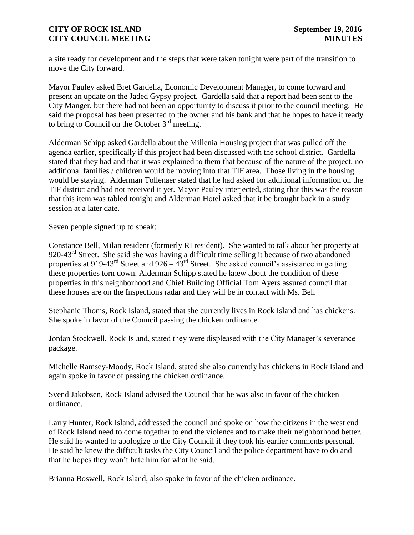a site ready for development and the steps that were taken tonight were part of the transition to move the City forward.

Mayor Pauley asked Bret Gardella, Economic Development Manager, to come forward and present an update on the Jaded Gypsy project. Gardella said that a report had been sent to the City Manger, but there had not been an opportunity to discuss it prior to the council meeting. He said the proposal has been presented to the owner and his bank and that he hopes to have it ready to bring to Council on the October  $3<sup>rd</sup>$  meeting.

Alderman Schipp asked Gardella about the Millenia Housing project that was pulled off the agenda earlier, specifically if this project had been discussed with the school district. Gardella stated that they had and that it was explained to them that because of the nature of the project, no additional families / children would be moving into that TIF area. Those living in the housing would be staying. Alderman Tollenaer stated that he had asked for additional information on the TIF district and had not received it yet. Mayor Pauley interjected, stating that this was the reason that this item was tabled tonight and Alderman Hotel asked that it be brought back in a study session at a later date.

Seven people signed up to speak:

Constance Bell, Milan resident (formerly RI resident). She wanted to talk about her property at 920-43 $^{rd}$  Street. She said she was having a difficult time selling it because of two abandoned properties at 919-43<sup>rd</sup> Street and 926 –  $43<sup>rd</sup>$  Street. She asked council's assistance in getting these properties torn down. Alderman Schipp stated he knew about the condition of these properties in this neighborhood and Chief Building Official Tom Ayers assured council that these houses are on the Inspections radar and they will be in contact with Ms. Bell

Stephanie Thoms, Rock Island, stated that she currently lives in Rock Island and has chickens. She spoke in favor of the Council passing the chicken ordinance.

Jordan Stockwell, Rock Island, stated they were displeased with the City Manager's severance package.

Michelle Ramsey-Moody, Rock Island, stated she also currently has chickens in Rock Island and again spoke in favor of passing the chicken ordinance.

Svend Jakobsen, Rock Island advised the Council that he was also in favor of the chicken ordinance.

Larry Hunter, Rock Island, addressed the council and spoke on how the citizens in the west end of Rock Island need to come together to end the violence and to make their neighborhood better. He said he wanted to apologize to the City Council if they took his earlier comments personal. He said he knew the difficult tasks the City Council and the police department have to do and that he hopes they won't hate him for what he said.

Brianna Boswell, Rock Island, also spoke in favor of the chicken ordinance.